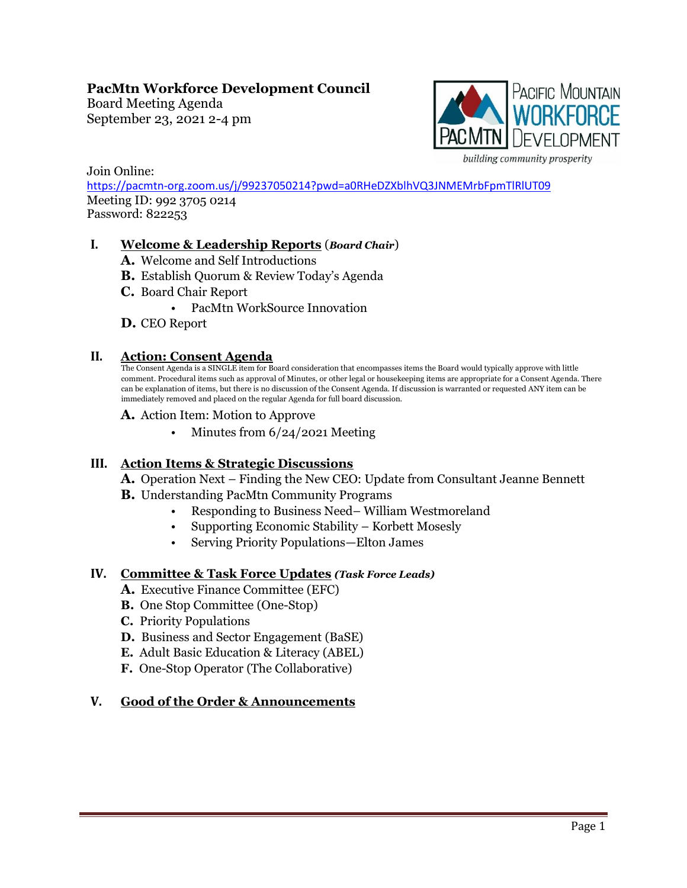# **PacMtn Workforce Development Council**

Board Meeting Agenda September 23, 2021 2-4 pm



Join Online: <https://pacmtn-org.zoom.us/j/99237050214?pwd=a0RHeDZXblhVQ3JNMEMrbFpmTlRlUT09> Meeting ID: 992 3705 0214 Password: 822253

## **I. Welcome & Leadership Reports** (*Board Chair*)

- **A.** Welcome and Self Introductions
- **B.** Establish Quorum & Review Today's Agenda
- **C.** Board Chair Report
	- PacMtn WorkSource Innovation
- **D.** CEO Report

### **II. Action: Consent Agenda**

The Consent Agenda is a SINGLE item for Board consideration that encompasses items the Board would typically approve with little comment. Procedural items such as approval of Minutes, or other legal or housekeeping items are appropriate for a Consent Agenda. There can be explanation of items, but there is no discussion of the Consent Agenda. If discussion is warranted or requested ANY item can be immediately removed and placed on the regular Agenda for full board discussion.

- **A.** Action Item: Motion to Approve
	- Minutes from  $6/24/2021$  Meeting

### **III. Action Items & Strategic Discussions**

**A.** Operation Next – Finding the New CEO: Update from Consultant Jeanne Bennett

**B.** Understanding PacMtn Community Programs

- Responding to Business Need– William Westmoreland
- Supporting Economic Stability Korbett Mosesly
- Serving Priority Populations—Elton James

### **IV. Committee & Task Force Updates** *(Task Force Leads)*

- **A.** Executive Finance Committee (EFC)
- **B.** One Stop Committee (One-Stop)
- **C.** Priority Populations
- **D.** Business and Sector Engagement (BaSE)
- **E.** Adult Basic Education & Literacy (ABEL)
- **F.** One-Stop Operator (The Collaborative)

### **V. Good of the Order & Announcements**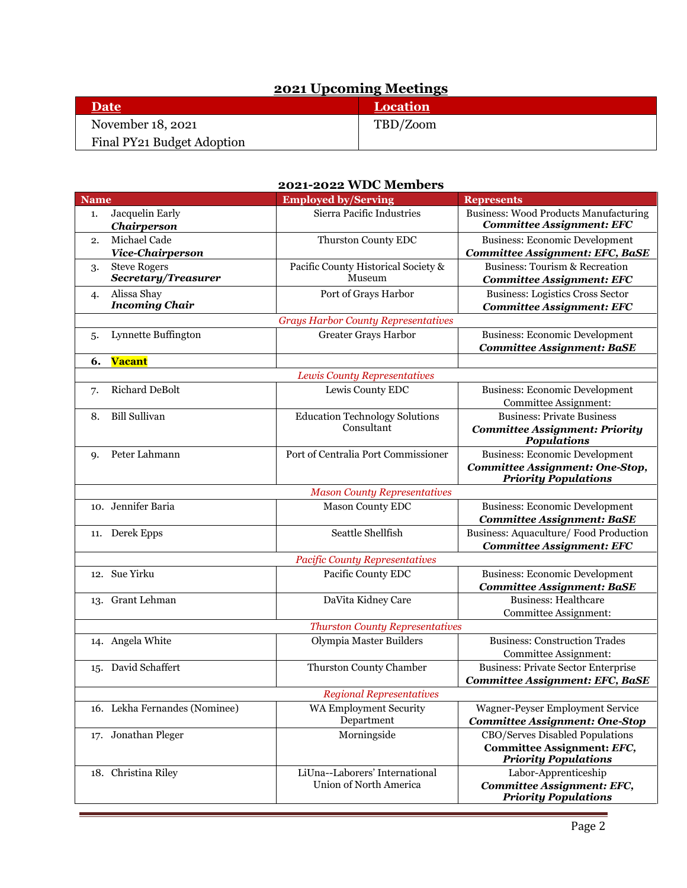# **2021 Upcoming Meetings**

| <b>Date</b>                | <b>Location</b> |
|----------------------------|-----------------|
| November 18, 2021          | TBD/Zoom        |
| Final PY21 Budget Adoption |                 |

## **2021-2022 WDC Members**

| <b>Name</b>                     |                                        | <b>Employed by/Serving</b>                               | <b>Represents</b>                                                          |  |  |
|---------------------------------|----------------------------------------|----------------------------------------------------------|----------------------------------------------------------------------------|--|--|
| 1.                              | Jacquelin Early                        | Sierra Pacific Industries                                | <b>Business: Wood Products Manufacturing</b>                               |  |  |
|                                 | Chairperson                            |                                                          | <b>Committee Assignment: EFC</b>                                           |  |  |
| 2.                              | Michael Cade                           | Thurston County EDC                                      | <b>Business: Economic Development</b>                                      |  |  |
|                                 | Vice-Chairperson                       |                                                          | <b>Committee Assignment: EFC, BaSE</b>                                     |  |  |
| 3.                              | <b>Steve Rogers</b>                    | Pacific County Historical Society &                      | <b>Business: Tourism &amp; Recreation</b>                                  |  |  |
|                                 | Secretary/Treasurer                    | Museum                                                   | <b>Committee Assignment: EFC</b>                                           |  |  |
| 4.                              | Alissa Shay<br><b>Incoming Chair</b>   | Port of Grays Harbor                                     | <b>Business: Logistics Cross Sector</b>                                    |  |  |
|                                 |                                        |                                                          | <b>Committee Assignment: EFC</b>                                           |  |  |
|                                 |                                        | <b>Grays Harbor County Representatives</b>               |                                                                            |  |  |
| 5.                              | Lynnette Buffington                    | Greater Grays Harbor                                     | <b>Business: Economic Development</b><br><b>Committee Assignment: BaSE</b> |  |  |
| 6.                              | <b>Vacant</b>                          |                                                          |                                                                            |  |  |
|                                 |                                        | Lewis County Representatives                             |                                                                            |  |  |
| 7.                              | <b>Richard DeBolt</b>                  | Lewis County EDC                                         | <b>Business: Economic Development</b>                                      |  |  |
|                                 |                                        |                                                          | Committee Assignment:                                                      |  |  |
| 8.                              | <b>Bill Sullivan</b>                   | <b>Education Technology Solutions</b>                    | <b>Business: Private Business</b>                                          |  |  |
|                                 |                                        | Consultant                                               | <b>Committee Assignment: Priority</b>                                      |  |  |
|                                 |                                        |                                                          | <b>Populations</b>                                                         |  |  |
| <b>q.</b>                       | Peter Lahmann                          | Port of Centralia Port Commissioner                      | <b>Business: Economic Development</b>                                      |  |  |
|                                 |                                        |                                                          | <b>Committee Assignment: One-Stop,</b>                                     |  |  |
|                                 |                                        |                                                          | <b>Priority Populations</b>                                                |  |  |
|                                 |                                        | <b>Mason County Representatives</b>                      |                                                                            |  |  |
|                                 | 10. Jennifer Baria                     | <b>Mason County EDC</b>                                  | <b>Business: Economic Development</b>                                      |  |  |
|                                 |                                        |                                                          | <b>Committee Assignment: BaSE</b>                                          |  |  |
|                                 | 11. Derek Epps                         | Seattle Shellfish                                        | Business: Aquaculture/ Food Production                                     |  |  |
|                                 |                                        |                                                          | <b>Committee Assignment: EFC</b>                                           |  |  |
|                                 | 12. Sue Yirku                          | <b>Pacific County Representatives</b>                    |                                                                            |  |  |
|                                 |                                        | Pacific County EDC                                       | <b>Business: Economic Development</b><br><b>Committee Assignment: BaSE</b> |  |  |
|                                 | 13. Grant Lehman                       | DaVita Kidney Care                                       | <b>Business: Healthcare</b>                                                |  |  |
|                                 |                                        |                                                          | Committee Assignment:                                                      |  |  |
|                                 | <b>Thurston County Representatives</b> |                                                          |                                                                            |  |  |
|                                 | 14. Angela White                       | Olympia Master Builders                                  | <b>Business: Construction Trades</b>                                       |  |  |
|                                 |                                        |                                                          | Committee Assignment:                                                      |  |  |
|                                 | 15. David Schaffert                    | Thurston County Chamber                                  | <b>Business: Private Sector Enterprise</b>                                 |  |  |
|                                 |                                        |                                                          | <b>Committee Assignment: EFC, BaSE</b>                                     |  |  |
| <b>Regional Representatives</b> |                                        |                                                          |                                                                            |  |  |
|                                 | 16. Lekha Fernandes (Nominee)          | <b>WA Employment Security</b>                            | Wagner-Peyser Employment Service                                           |  |  |
|                                 |                                        | Department                                               | <b>Committee Assignment: One-Stop</b>                                      |  |  |
| 17. Jonathan Pleger             |                                        | Morningside                                              | CBO/Serves Disabled Populations                                            |  |  |
|                                 |                                        |                                                          | Committee Assignment: EFC,                                                 |  |  |
|                                 |                                        |                                                          | <b>Priority Populations</b>                                                |  |  |
|                                 | 18. Christina Riley                    | LiUna--Laborers' International<br>Union of North America | Labor-Apprenticeship                                                       |  |  |
|                                 |                                        |                                                          | Committee Assignment: EFC,<br><b>Priority Populations</b>                  |  |  |
|                                 |                                        |                                                          |                                                                            |  |  |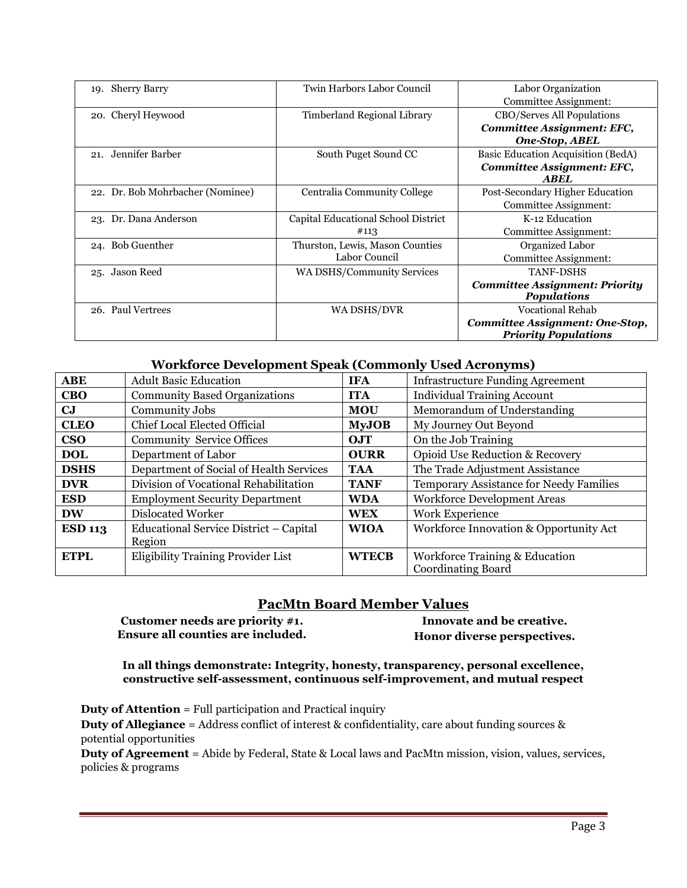| <b>Sherry Barry</b><br>19.       | Twin Harbors Labor Council                       | Labor Organization<br>Committee Assignment:                                                              |
|----------------------------------|--------------------------------------------------|----------------------------------------------------------------------------------------------------------|
| 20. Cheryl Heywood               | Timberland Regional Library                      | CBO/Serves All Populations<br>Committee Assignment: EFC,                                                 |
| 21. Jennifer Barber              | South Puget Sound CC                             | <b>One-Stop, ABEL</b><br>Basic Education Acquisition (BedA)<br>Committee Assignment: EFC,<br><b>ABEL</b> |
| 22. Dr. Bob Mohrbacher (Nominee) | Centralia Community College                      | Post-Secondary Higher Education<br>Committee Assignment:                                                 |
| 23. Dr. Dana Anderson            | Capital Educational School District<br>#113      | K-12 Education<br>Committee Assignment:                                                                  |
| 24. Bob Guenther                 | Thurston, Lewis, Mason Counties<br>Labor Council | Organized Labor<br>Committee Assignment:                                                                 |
| Jason Reed<br>25.                | <b>WA DSHS/Community Services</b>                | <b>TANF-DSHS</b><br><b>Committee Assignment: Priority</b><br><b>Populations</b>                          |
| 26. Paul Vertrees                | WA DSHS/DVR                                      | <b>Vocational Rehab</b><br>Committee Assignment: One-Stop,<br><b>Priority Populations</b>                |

### **Workforce Development Speak (Commonly Used Acronyms)**

| <b>ABE</b>     | <b>Adult Basic Education</b>            | <b>IFA</b>   | <b>Infrastructure Funding Agreement</b> |  |
|----------------|-----------------------------------------|--------------|-----------------------------------------|--|
| <b>CBO</b>     | <b>Community Based Organizations</b>    | <b>ITA</b>   | <b>Individual Training Account</b>      |  |
| CJ             | Community Jobs                          | <b>MOU</b>   | Memorandum of Understanding             |  |
| <b>CLEO</b>    | Chief Local Elected Official            | <b>MyJOB</b> | My Journey Out Beyond                   |  |
| $\bf CSO$      | <b>Community Service Offices</b>        | OJT          | On the Job Training                     |  |
| <b>DOL</b>     | Department of Labor                     | <b>OURR</b>  | Opioid Use Reduction & Recovery         |  |
| <b>DSHS</b>    | Department of Social of Health Services | <b>TAA</b>   | The Trade Adjustment Assistance         |  |
| <b>DVR</b>     | Division of Vocational Rehabilitation   | <b>TANF</b>  | Temporary Assistance for Needy Families |  |
| <b>ESD</b>     | <b>Employment Security Department</b>   | <b>WDA</b>   | <b>Workforce Development Areas</b>      |  |
| <b>DW</b>      | Dislocated Worker                       | <b>WEX</b>   | Work Experience                         |  |
| <b>ESD 113</b> | Educational Service District - Capital  | <b>WIOA</b>  | Workforce Innovation & Opportunity Act  |  |
|                | Region                                  |              |                                         |  |
| <b>ETPL</b>    | Eligibility Training Provider List      | <b>WTECB</b> | Workforce Training & Education          |  |
|                |                                         |              | <b>Coordinating Board</b>               |  |

### **PacMtn Board Member Values**

**Customer needs are priority #1. Ensure all counties are included.**

**Innovate and be creative. Honor diverse perspectives.**

**In all things demonstrate: Integrity, honesty, transparency, personal excellence, constructive self-assessment, continuous self-improvement, and mutual respect**

**Duty of Attention** = Full participation and Practical inquiry **Duty of Allegiance** = Address conflict of interest & confidentiality, care about funding sources & potential opportunities

**Duty of Agreement** = Abide by Federal, State & Local laws and PacMtn mission, vision, values, services, policies & programs